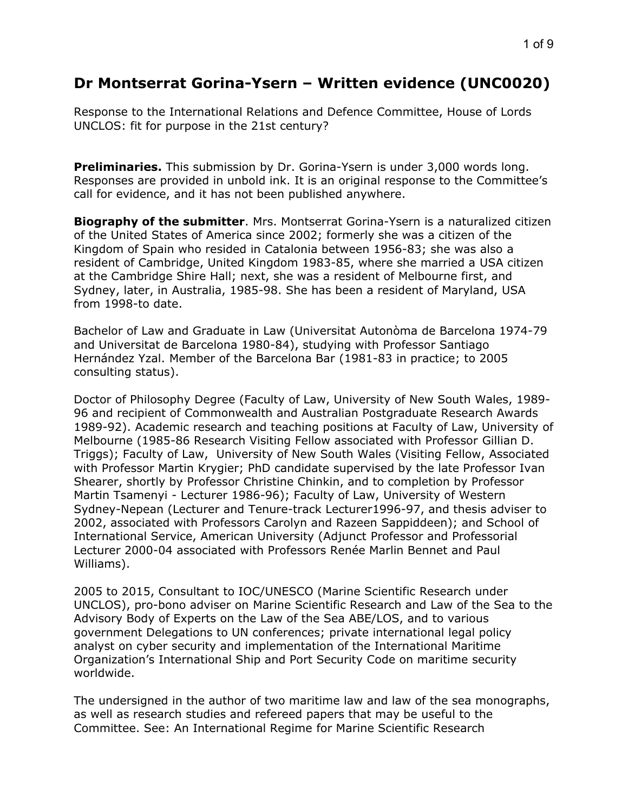# **Dr Montserrat Gorina-Ysern – Written evidence (UNC0020)**

Response to the International Relations and Defence Committee, House of Lords UNCLOS: fit for purpose in the 21st century?

**Preliminaries.** This submission by Dr. Gorina-Ysern is under 3,000 words long. Responses are provided in unbold ink. It is an original response to the Committee's call for evidence, and it has not been published anywhere.

**Biography of the submitter**. Mrs. Montserrat Gorina-Ysern is a naturalized citizen of the United States of America since 2002; formerly she was a citizen of the Kingdom of Spain who resided in Catalonia between 1956-83; she was also a resident of Cambridge, United Kingdom 1983-85, where she married a USA citizen at the Cambridge Shire Hall; next, she was a resident of Melbourne first, and Sydney, later, in Australia, 1985-98. She has been a resident of Maryland, USA from 1998-to date.

Bachelor of Law and Graduate in Law (Universitat Autonòma de Barcelona 1974-79 and Universitat de Barcelona 1980-84), studying with Professor Santiago Hernández Yzal. Member of the Barcelona Bar (1981-83 in practice; to 2005 consulting status).

Doctor of Philosophy Degree (Faculty of Law, University of New South Wales, 1989- 96 and recipient of Commonwealth and Australian Postgraduate Research Awards 1989-92). Academic research and teaching positions at Faculty of Law, University of Melbourne (1985-86 Research Visiting Fellow associated with Professor Gillian D. Triggs); Faculty of Law, University of New South Wales (Visiting Fellow, Associated with Professor Martin Krygier; PhD candidate supervised by the late Professor Ivan Shearer, shortly by Professor Christine Chinkin, and to completion by Professor Martin Tsamenyi - Lecturer 1986-96); Faculty of Law, University of Western Sydney-Nepean (Lecturer and Tenure-track Lecturer1996-97, and thesis adviser to 2002, associated with Professors Carolyn and Razeen Sappiddeen); and School of International Service, American University (Adjunct Professor and Professorial Lecturer 2000-04 associated with Professors Renée Marlin Bennet and Paul Williams).

2005 to 2015, Consultant to IOC/UNESCO (Marine Scientific Research under UNCLOS), pro-bono adviser on Marine Scientific Research and Law of the Sea to the Advisory Body of Experts on the Law of the Sea ABE/LOS, and to various government Delegations to UN conferences; private international legal policy analyst on cyber security and implementation of the International Maritime Organization's International Ship and Port Security Code on maritime security worldwide.

The undersigned in the author of two maritime law and law of the sea monographs, as well as research studies and refereed papers that may be useful to the Committee. See: An International Regime for Marine Scientific Research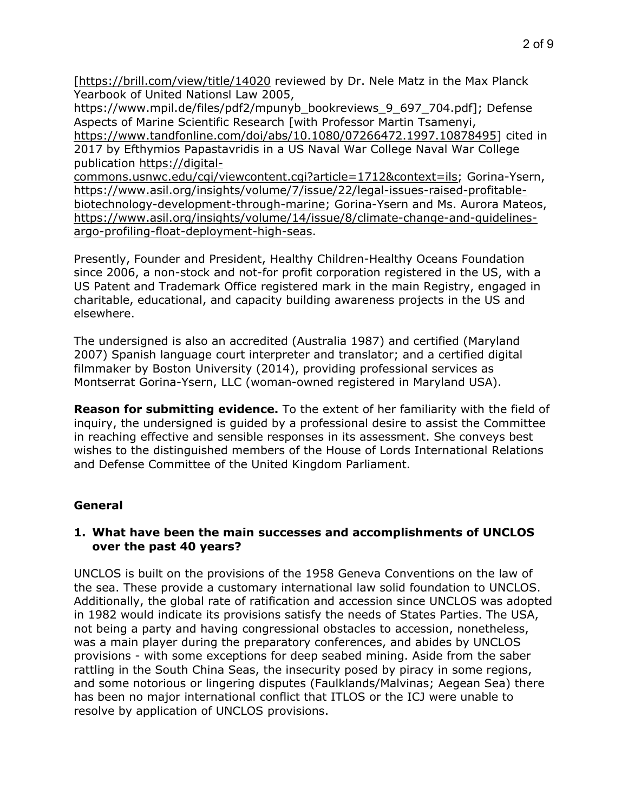[<https://brill.com/view/title/14020> reviewed by Dr. Nele Matz in the Max Planck Yearbook of United Nationsl Law 2005,

https://www.mpil.de/files/pdf2/mpunyb\_bookreviews\_9\_697\_704.pdf]; Defense Aspects of Marine Scientific Research [with Professor Martin Tsamenyi, [https://www.tandfonline.com/doi/abs/10.1080/07266472.1997.10878495\]](https://www.tandfonline.com/doi/abs/10.1080/07266472.1997.10878495) cited in 2017 by Efthymios Papastavridis in a US Naval War College Naval War College

publication [https://digital-](https://digital-commons.usnwc.edu/cgi/viewcontent.cgi?article=1712&context=ils)

[commons.usnwc.edu/cgi/viewcontent.cgi?article=1712&context=ils;](https://digital-commons.usnwc.edu/cgi/viewcontent.cgi?article=1712&context=ils) Gorina-Ysern, [https://www.asil.org/insights/volume/7/issue/22/legal-issues-raised-profitable](https://www.asil.org/insights/volume/7/issue/22/legal-issues-raised-profitable-biotechnology-development-through-marine)[biotechnology-development-through-marine](https://www.asil.org/insights/volume/7/issue/22/legal-issues-raised-profitable-biotechnology-development-through-marine); Gorina-Ysern and Ms. Aurora Mateos, [https://www.asil.org/insights/volume/14/issue/8/climate-change-and-guidelines](https://www.asil.org/insights/volume/14/issue/8/climate-change-and-guidelines-argo-profiling-float-deployment-high-seas)[argo-profiling-float-deployment-high-seas.](https://www.asil.org/insights/volume/14/issue/8/climate-change-and-guidelines-argo-profiling-float-deployment-high-seas)

Presently, Founder and President, Healthy Children-Healthy Oceans Foundation since 2006, a non-stock and not-for profit corporation registered in the US, with a US Patent and Trademark Office registered mark in the main Registry, engaged in charitable, educational, and capacity building awareness projects in the US and elsewhere.

The undersigned is also an accredited (Australia 1987) and certified (Maryland 2007) Spanish language court interpreter and translator; and a certified digital filmmaker by Boston University (2014), providing professional services as Montserrat Gorina-Ysern, LLC (woman-owned registered in Maryland USA).

**Reason for submitting evidence.** To the extent of her familiarity with the field of inquiry, the undersigned is guided by a professional desire to assist the Committee in reaching effective and sensible responses in its assessment. She conveys best wishes to the distinguished members of the House of Lords International Relations and Defense Committee of the United Kingdom Parliament.

# **General**

# **1. What have been the main successes and accomplishments of UNCLOS over the past 40 years?**

UNCLOS is built on the provisions of the 1958 Geneva Conventions on the law of the sea. These provide a customary international law solid foundation to UNCLOS. Additionally, the global rate of ratification and accession since UNCLOS was adopted in 1982 would indicate its provisions satisfy the needs of States Parties. The USA, not being a party and having congressional obstacles to accession, nonetheless, was a main player during the preparatory conferences, and abides by UNCLOS provisions - with some exceptions for deep seabed mining. Aside from the saber rattling in the South China Seas, the insecurity posed by piracy in some regions, and some notorious or lingering disputes (Faulklands/Malvinas; Aegean Sea) there has been no major international conflict that ITLOS or the ICJ were unable to resolve by application of UNCLOS provisions.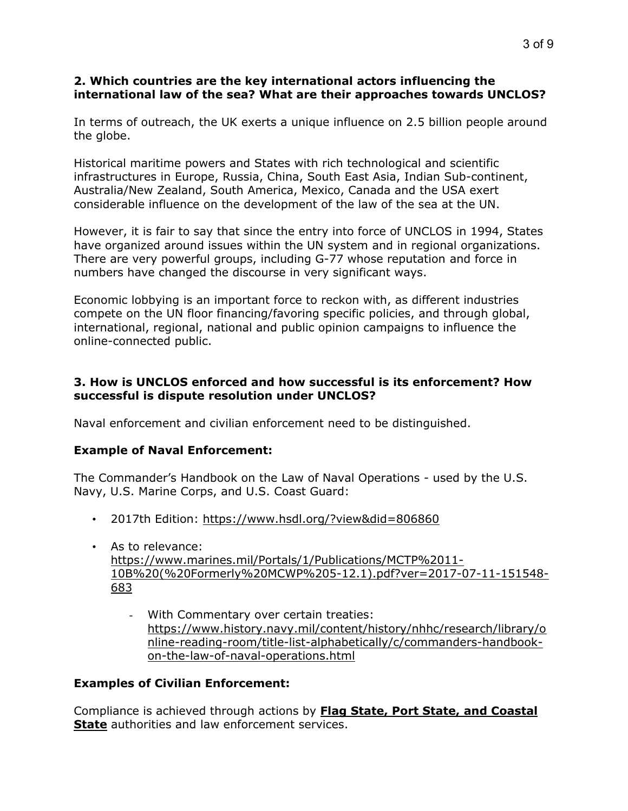## **2. Which countries are the key international actors influencing the international law of the sea? What are their approaches towards UNCLOS?**

In terms of outreach, the UK exerts a unique influence on 2.5 billion people around the globe.

Historical maritime powers and States with rich technological and scientific infrastructures in Europe, Russia, China, South East Asia, Indian Sub-continent, Australia/New Zealand, South America, Mexico, Canada and the USA exert considerable influence on the development of the law of the sea at the UN.

However, it is fair to say that since the entry into force of UNCLOS in 1994, States have organized around issues within the UN system and in regional organizations. There are very powerful groups, including G-77 whose reputation and force in numbers have changed the discourse in very significant ways.

Economic lobbying is an important force to reckon with, as different industries compete on the UN floor financing/favoring specific policies, and through global, international, regional, national and public opinion campaigns to influence the online-connected public.

## **3. How is UNCLOS enforced and how successful is its enforcement? How successful is dispute resolution under UNCLOS?**

Naval enforcement and civilian enforcement need to be distinguished.

#### **Example of Naval Enforcement:**

The Commander's Handbook on the Law of Naval Operations - used by the U.S. Navy, U.S. Marine Corps, and U.S. Coast Guard:

- 2017th Edition: <https://www.hsdl.org/?view&did=806860>
- As to relevance: [https://www.marines.mil/Portals/1/Publications/MCTP%2011-](https://www.marines.mil/Portals/1/Publications/MCTP%252011-10B%2520(%2520Formerly%2520MCWP%25205-12.1).pdf?ver=2017-07-11-151548-683) [10B%20\(%20Formerly%20MCWP%205-12.1\).pdf?ver=2017-07-11-151548-](https://www.marines.mil/Portals/1/Publications/MCTP%252011-10B%2520(%2520Formerly%2520MCWP%25205-12.1).pdf?ver=2017-07-11-151548-683) [683](https://www.marines.mil/Portals/1/Publications/MCTP%252011-10B%2520(%2520Formerly%2520MCWP%25205-12.1).pdf?ver=2017-07-11-151548-683)
	- With Commentary over certain treaties: [https://www.history.navy.mil/content/history/nhhc/research/library/o](https://www.history.navy.mil/content/history/nhhc/research/library/online-reading-room/title-list-alphabetically/c/commanders-handbook-on-the-law-of-naval-operations.html) [nline-reading-room/title-list-alphabetically/c/commanders-handbook](https://www.history.navy.mil/content/history/nhhc/research/library/online-reading-room/title-list-alphabetically/c/commanders-handbook-on-the-law-of-naval-operations.html)[on-the-law-of-naval-operations.html](https://www.history.navy.mil/content/history/nhhc/research/library/online-reading-room/title-list-alphabetically/c/commanders-handbook-on-the-law-of-naval-operations.html)

#### **Examples of Civilian Enforcement:**

Compliance is achieved through actions by **Flag State, Port State, and Coastal State** authorities and law enforcement services.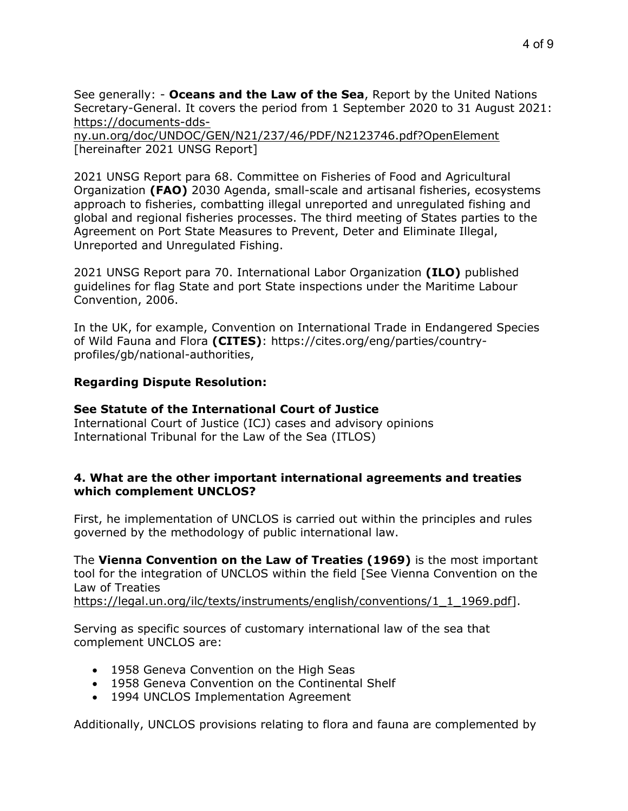See generally: - **Oceans and the Law of the Sea**, Report by the United Nations Secretary-General. It covers the period from 1 September 2020 to 31 August 2021: [https://documents-dds-](https://documents-dds-ny.un.org/doc/UNDOC/GEN/N21/237/46/PDF/N2123746.pdf?OpenElement)

[ny.un.org/doc/UNDOC/GEN/N21/237/46/PDF/N2123746.pdf?OpenElement](https://documents-dds-ny.un.org/doc/UNDOC/GEN/N21/237/46/PDF/N2123746.pdf?OpenElement) [hereinafter 2021 UNSG Report]

2021 UNSG Report para 68. Committee on Fisheries of Food and Agricultural Organization **(FAO)** 2030 Agenda, small-scale and artisanal fisheries, ecosystems approach to fisheries, combatting illegal unreported and unregulated fishing and global and regional fisheries processes. The third meeting of States parties to the Agreement on Port State Measures to Prevent, Deter and Eliminate Illegal, Unreported and Unregulated Fishing.

2021 UNSG Report para 70. International Labor Organization **(ILO)** published guidelines for flag State and port State inspections under the Maritime Labour Convention, 2006.

In the UK, for example, Convention on International Trade in Endangered Species of Wild Fauna and Flora **(CITES)**: https://cites.org/eng/parties/countryprofiles/gb/national-authorities,

## **Regarding Dispute Resolution:**

## **See Statute of the International Court of Justice**

International Court of Justice (ICJ) cases and advisory opinions International Tribunal for the Law of the Sea (ITLOS)

#### **4. What are the other important international agreements and treaties which complement UNCLOS?**

First, he implementation of UNCLOS is carried out within the principles and rules governed by the methodology of public international law.

The **Vienna Convention on the Law of Treaties (1969)** is the most important tool for the integration of UNCLOS within the field [See Vienna Convention on the Law of Treaties

[https://legal.un.org/ilc/texts/instruments/english/conventions/1\\_1\\_1969.pdf\]](https://legal.un.org/ilc/texts/instruments/english/conventions/1_1_1969.pdf).

Serving as specific sources of customary international law of the sea that complement UNCLOS are:

- 1958 Geneva Convention on the High Seas
- 1958 Geneva Convention on the Continental Shelf
- 1994 UNCLOS Implementation Agreement

Additionally, UNCLOS provisions relating to flora and fauna are complemented by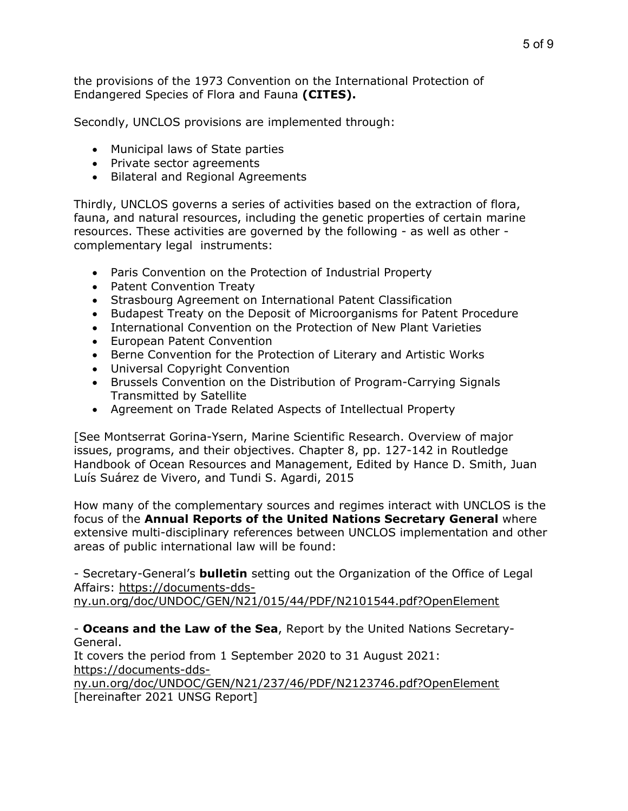the provisions of the 1973 Convention on the International Protection of Endangered Species of Flora and Fauna **(CITES).**

Secondly, UNCLOS provisions are implemented through:

- Municipal laws of State parties
- Private sector agreements
- Bilateral and Regional Agreements

Thirdly, UNCLOS governs a series of activities based on the extraction of flora, fauna, and natural resources, including the genetic properties of certain marine resources. These activities are governed by the following - as well as other complementary legal instruments:

- Paris Convention on the Protection of Industrial Property
- Patent Convention Treaty
- Strasbourg Agreement on International Patent Classification
- Budapest Treaty on the Deposit of Microorganisms for Patent Procedure
- International Convention on the Protection of New Plant Varieties
- European Patent Convention
- Berne Convention for the Protection of Literary and Artistic Works
- Universal Copyright Convention
- Brussels Convention on the Distribution of Program-Carrying Signals Transmitted by Satellite
- Agreement on Trade Related Aspects of Intellectual Property

[See Montserrat Gorina-Ysern, Marine Scientific Research. Overview of major issues, programs, and their objectives. Chapter 8, pp. 127-142 in Routledge Handbook of Ocean Resources and Management, Edited by Hance D. Smith, Juan Luís Suárez de Vivero, and Tundi S. Agardi, 2015

How many of the complementary sources and regimes interact with UNCLOS is the focus of the **Annual Reports of the United Nations Secretary General** where extensive multi-disciplinary references between UNCLOS implementation and other areas of public international law will be found:

- Secretary-General's **bulletin** setting out the Organization of the Office of Legal Affairs: [https://documents-dds-](https://documents-dds-ny.un.org/doc/UNDOC/GEN/N21/015/44/PDF/N2101544.pdf?OpenElement)

[ny.un.org/doc/UNDOC/GEN/N21/015/44/PDF/N2101544.pdf?OpenElement](https://documents-dds-ny.un.org/doc/UNDOC/GEN/N21/015/44/PDF/N2101544.pdf?OpenElement)

- **Oceans and the Law of the Sea**, Report by the United Nations Secretary-General.

It covers the period from 1 September 2020 to 31 August 2021: [https://documents-dds-](https://documents-dds-ny.un.org/doc/UNDOC/GEN/N21/237/46/PDF/N2123746.pdf?OpenElement)

[ny.un.org/doc/UNDOC/GEN/N21/237/46/PDF/N2123746.pdf?OpenElement](https://documents-dds-ny.un.org/doc/UNDOC/GEN/N21/237/46/PDF/N2123746.pdf?OpenElement) [hereinafter 2021 UNSG Report]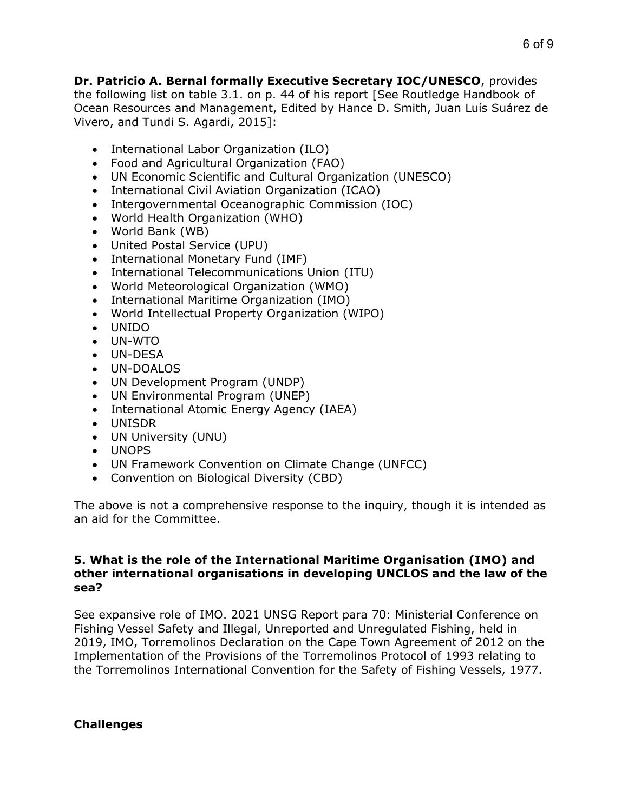**Dr. Patricio A. Bernal formally Executive Secretary IOC/UNESCO**, provides the following list on table 3.1. on p. 44 of his report [See Routledge Handbook of Ocean Resources and Management, Edited by Hance D. Smith, Juan Luís Suárez de Vivero, and Tundi S. Agardi, 2015]:

- International Labor Organization (ILO)
- Food and Agricultural Organization (FAO)
- UN Economic Scientific and Cultural Organization (UNESCO)
- International Civil Aviation Organization (ICAO)
- Intergovernmental Oceanographic Commission (IOC)
- World Health Organization (WHO)
- World Bank (WB)
- United Postal Service (UPU)
- International Monetary Fund (IMF)
- International Telecommunications Union (ITU)
- World Meteorological Organization (WMO)
- International Maritime Organization (IMO)
- World Intellectual Property Organization (WIPO)
- UNIDO
- UN-WTO
- UN-DESA
- UN-DOALOS
- UN Development Program (UNDP)
- UN Environmental Program (UNEP)
- International Atomic Energy Agency (IAEA)
- UNISDR
- UN University (UNU)
- UNOPS
- UN Framework Convention on Climate Change (UNFCC)
- Convention on Biological Diversity (CBD)

The above is not a comprehensive response to the inquiry, though it is intended as an aid for the Committee.

#### **5. What is the role of the International Maritime Organisation (IMO) and other international organisations in developing UNCLOS and the law of the sea?**

See expansive role of IMO. 2021 UNSG Report para 70: Ministerial Conference on Fishing Vessel Safety and Illegal, Unreported and Unregulated Fishing, held in 2019, IMO, Torremolinos Declaration on the Cape Town Agreement of 2012 on the Implementation of the Provisions of the Torremolinos Protocol of 1993 relating to the Torremolinos International Convention for the Safety of Fishing Vessels, 1977.

# **Challenges**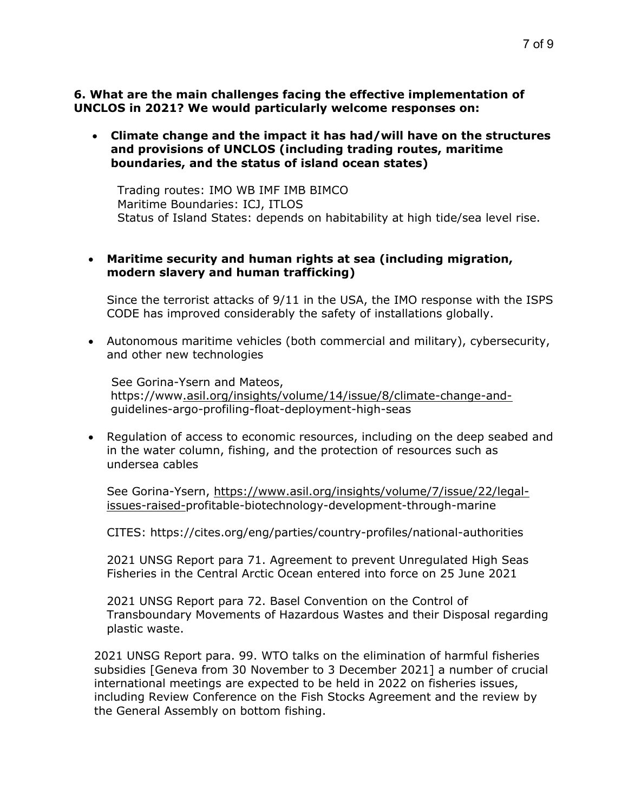**Climate change and the impact it has had/will have on the structures and provisions of UNCLOS (including trading routes, maritime boundaries, and the status of island ocean states)**

 Trading routes: IMO WB IMF IMB BIMCO Maritime Boundaries: ICJ, ITLOS Status of Island States: depends on habitability at high tide/sea level rise.

## **Maritime security and human rights at sea (including migration, modern slavery and human trafficking)**

Since the terrorist attacks of 9/11 in the USA, the IMO response with the ISPS CODE has improved considerably the safety of installations globally.

 Autonomous maritime vehicles (both commercial and military), cybersecurity, and other new technologies

See Gorina-Ysern and Mateos, https://ww[w.asil.org/insights/volume/14/issue/8/climate-change-and](.asil.org/insights/volume/14/issue/8/climate-change-and-)guidelines-argo-profiling-float-deployment-high-seas

• Regulation of access to economic resources, including on the deep seabed and in the water column, fishing, and the protection of resources such as undersea cables

See Gorina-Ysern, [https://www.asil.org/insights/volume/7/issue/22/legal](https://www.asil.org/insights/volume/7/issue/22/legal-issues-raised-)[issues-raised-](https://www.asil.org/insights/volume/7/issue/22/legal-issues-raised-)profitable-biotechnology-development-through-marine

CITES: https://cites.org/eng/parties/country-profiles/national-authorities

2021 UNSG Report para 71. Agreement to prevent Unregulated High Seas Fisheries in the Central Arctic Ocean entered into force on 25 June 2021

2021 UNSG Report para 72. Basel Convention on the Control of Transboundary Movements of Hazardous Wastes and their Disposal regarding plastic waste.

2021 UNSG Report para. 99. WTO talks on the elimination of harmful fisheries subsidies [Geneva from 30 November to 3 December 2021] a number of crucial international meetings are expected to be held in 2022 on fisheries issues, including Review Conference on the Fish Stocks Agreement and the review by the General Assembly on bottom fishing.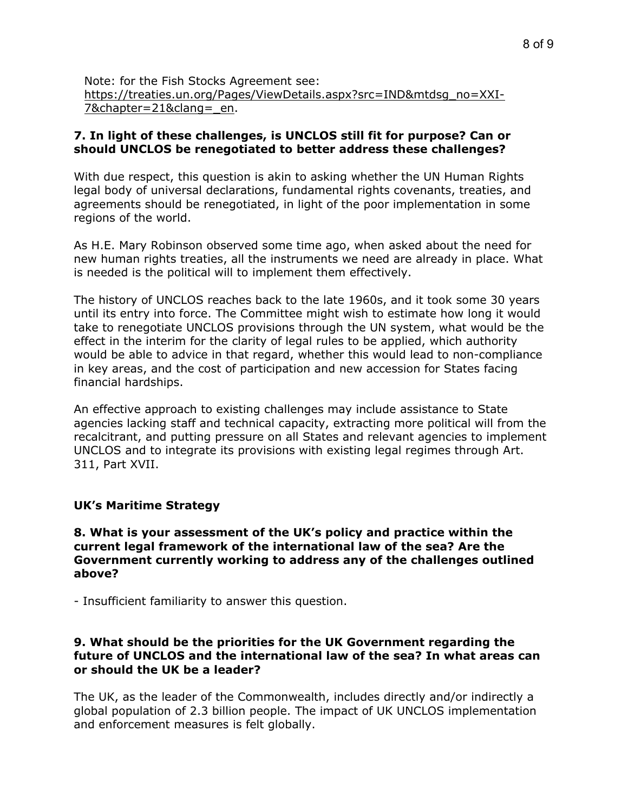Note: for the Fish Stocks Agreement see: [https://treaties.un.org/Pages/ViewDetails.aspx?src=IND&mtdsg\\_no=XXI-](https://treaties.un.org/Pages/ViewDetails.aspx?src=IND&mtdsg_no=XXI-7&chapter=21&clang=_en)[7&chapter=21&clang=\\_en.](https://treaties.un.org/Pages/ViewDetails.aspx?src=IND&mtdsg_no=XXI-7&chapter=21&clang=_en)

## **7. In light of these challenges, is UNCLOS still fit for purpose? Can or should UNCLOS be renegotiated to better address these challenges?**

With due respect, this question is akin to asking whether the UN Human Rights legal body of universal declarations, fundamental rights covenants, treaties, and agreements should be renegotiated, in light of the poor implementation in some regions of the world.

As H.E. Mary Robinson observed some time ago, when asked about the need for new human rights treaties, all the instruments we need are already in place. What is needed is the political will to implement them effectively.

The history of UNCLOS reaches back to the late 1960s, and it took some 30 years until its entry into force. The Committee might wish to estimate how long it would take to renegotiate UNCLOS provisions through the UN system, what would be the effect in the interim for the clarity of legal rules to be applied, which authority would be able to advice in that regard, whether this would lead to non-compliance in key areas, and the cost of participation and new accession for States facing financial hardships.

An effective approach to existing challenges may include assistance to State agencies lacking staff and technical capacity, extracting more political will from the recalcitrant, and putting pressure on all States and relevant agencies to implement UNCLOS and to integrate its provisions with existing legal regimes through Art. 311, Part XVII.

#### **UK's Maritime Strategy**

**8. What is your assessment of the UK's policy and practice within the current legal framework of the international law of the sea? Are the Government currently working to address any of the challenges outlined above?**

- Insufficient familiarity to answer this question.

#### **9. What should be the priorities for the UK Government regarding the future of UNCLOS and the international law of the sea? In what areas can or should the UK be a leader?**

The UK, as the leader of the Commonwealth, includes directly and/or indirectly a global population of 2.3 billion people. The impact of UK UNCLOS implementation and enforcement measures is felt globally.